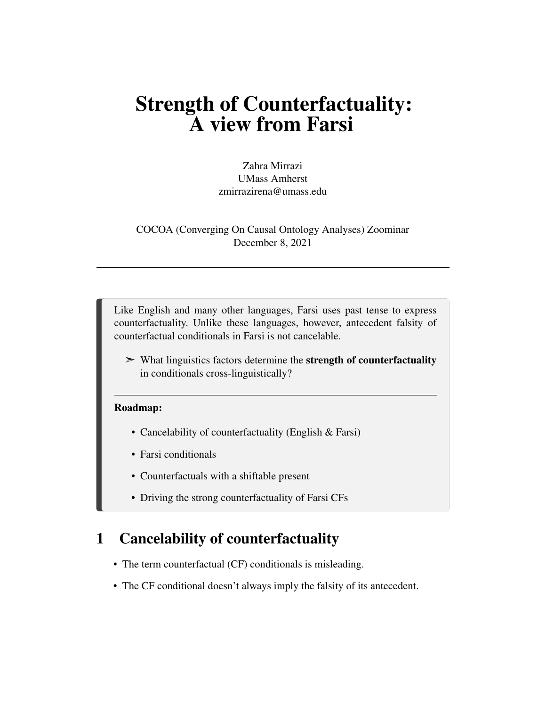# Strength of Counterfactuality: A view from Farsi

Zahra Mirrazi UMass Amherst zmirrazirena@umass.edu

COCOA (Converging On Causal Ontology Analyses) Zoominar December 8, 2021

Like English and many other languages, Farsi uses past tense to express counterfactuality. Unlike these languages, however, antecedent falsity of counterfactual conditionals in Farsi is not cancelable.

➣ What linguistics factors determine the strength of counterfactuality in conditionals cross-linguistically?

#### Roadmap:

- Cancelability of counterfactuality (English & Farsi)
- Farsi conditionals
- Counterfactuals with a shiftable present
- Driving the strong counterfactuality of Farsi CFs

### 1 Cancelability of counterfactuality

- The term counterfactual (CF) conditionals is misleading.
- The CF conditional doesn't always imply the falsity of its antecedent.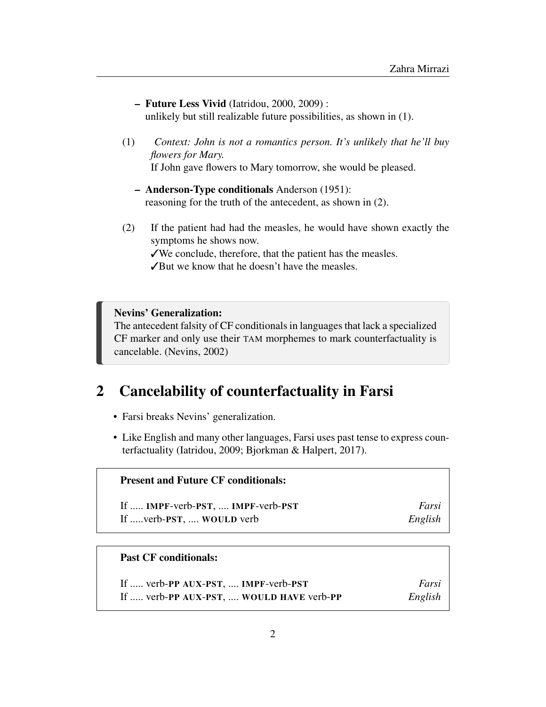| - Future Less Vivid (Iatridou, 2000, 2009) :                         |  |
|----------------------------------------------------------------------|--|
| unlikely but still realizable future possibilities, as shown in (1). |  |

- (1) *Context: John is not a romantics person. It's unlikely that he'll buy flowers for Mary.* If John gave flowers to Mary tomorrow, she would be pleased.
	- Anderson-Type conditionals Anderson (1951): reasoning for the truth of the antecedent, as shown in (2).
- (2) If the patient had had the measles, he would have shown exactly the symptoms he shows now.

✓We conclude, therefore, that the patient has the measles.

✓But we know that he doesn't have the measles.

Nevins' Generalization:

The antecedent falsity of CF conditionals in languages that lack a specialized CF marker and only use their TAM morphemes to mark counterfactuality is cancelable. (Nevins, 2002)

# 2 Cancelability of counterfactuality in Farsi

- Farsi breaks Nevins' generalization.
- Like English and many other languages, Farsi uses past tense to express counterfactuality (Iatridou, 2009; Bjorkman & Halpert, 2017).

| <b>Present and Future CF conditionals:</b> |         |
|--------------------------------------------|---------|
| If  IMPF-verb-PST,  IMPF-verb-PST          | Farsi   |
| If  verb-PST,  WOULD verb                  | English |

#### Past CF conditionals:

| If  verb-PP AUX-PST,  IMPF-verb-PST      | Farsi   |
|------------------------------------------|---------|
| If  verb-PP AUX-PST,  WOULD HAVE verb-PP | English |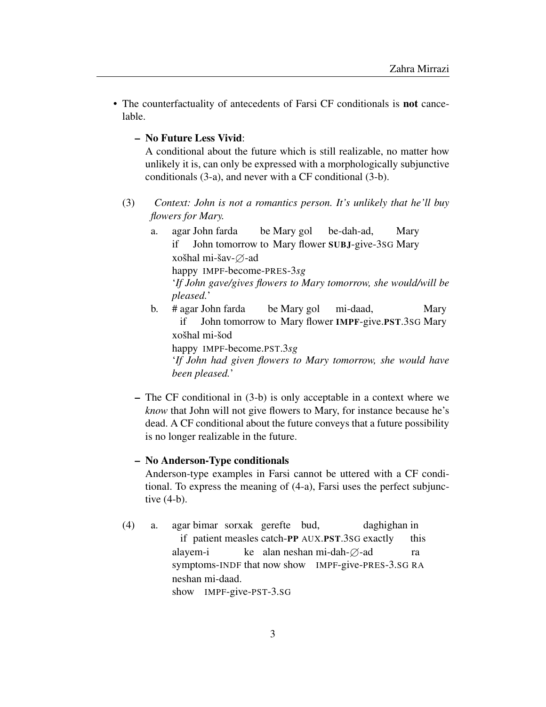- The counterfactuality of antecedents of Farsi CF conditionals is not cancelable.
	- No Future Less Vivid:

A conditional about the future which is still realizable, no matter how unlikely it is, can only be expressed with a morphologically subjunctive conditionals (3-a), and never with a CF conditional (3-b).

- (3) *Context: John is not a romantics person. It's unlikely that he'll buy flowers for Mary.*
	- a. agar John farda if John tomorrow to Mary flower SUBJ-give-3SG Mary be Mary gol be-dah-ad, Mary xošhal mi-šav-∅-ad happy IMPF-become-PRES-3*sg* '*If John gave/gives flowers to Mary tomorrow, she would/will be pleased.*'
	- b. # agar John farda if John tomorrow to Mary flower IMPF-give.PST.3SG Mary be Mary gol mi-daad, Mary xošhal mi-šod

happy IMPF-become.PST.3*sg*

'*If John had given flowers to Mary tomorrow, she would have been pleased.*'

– The CF conditional in (3-b) is only acceptable in a context where we *know* that John will not give flowers to Mary, for instance because he's dead. A CF conditional about the future conveys that a future possibility is no longer realizable in the future.

#### – No Anderson-Type conditionals

Anderson-type examples in Farsi cannot be uttered with a CF conditional. To express the meaning of (4-a), Farsi uses the perfect subjunctive (4-b).

(4) a. agar bimar sorxak gerefte bud, if patient measles catch-PP AUX.PST.3SG exactly daghighan in this alayem-i symptoms-INDF that now show IMPF-give-PRES-3.SG RA ke alan neshan mi-dah- $\varnothing$ -ad ra neshan mi-daad. show IMPF-give-PST-3.SG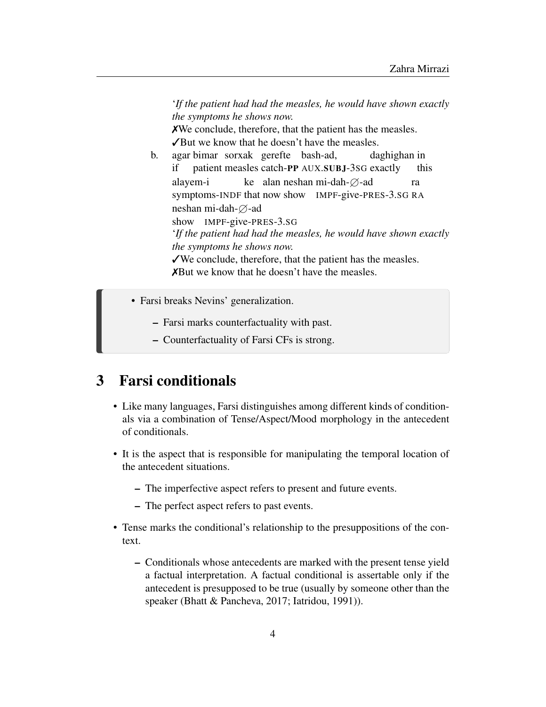'*If the patient had had the measles, he would have shown exactly the symptoms he shows now.*

✗We conclude, therefore, that the patient has the measles. ✓But we know that he doesn't have the measles.

- b. agar bimar sorxak gerefte bash-ad, if patient measles catch-PP AUX.SUBJ-3SG exactly daghighan in this alayem-i symptoms-INDF that now show IMPF-give-PRES-3.SG RA ke alan neshan mi-dah- $\varnothing$ -ad ra neshan mi-dah- $\varnothing$ -ad show IMPF-give-PRES-3.SG '*If the patient had had the measles, he would have shown exactly the symptoms he shows now.* ✓We conclude, therefore, that the patient has the measles. ✗But we know that he doesn't have the measles.
- Farsi breaks Nevins' generalization.
	- Farsi marks counterfactuality with past.
	- Counterfactuality of Farsi CFs is strong.

## 3 Farsi conditionals

- Like many languages, Farsi distinguishes among different kinds of conditionals via a combination of Tense/Aspect/Mood morphology in the antecedent of conditionals.
- It is the aspect that is responsible for manipulating the temporal location of the antecedent situations.
	- The imperfective aspect refers to present and future events.
	- The perfect aspect refers to past events.
- Tense marks the conditional's relationship to the presuppositions of the context.
	- Conditionals whose antecedents are marked with the present tense yield a factual interpretation. A factual conditional is assertable only if the antecedent is presupposed to be true (usually by someone other than the speaker (Bhatt & Pancheva, 2017; Iatridou, 1991)).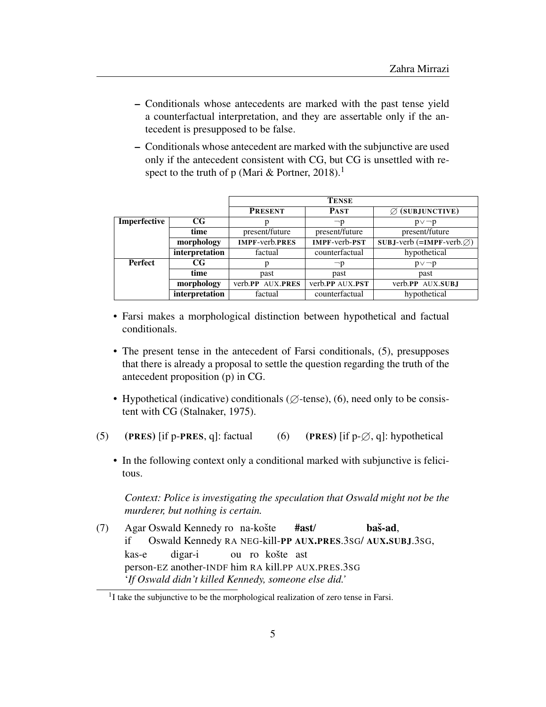- Conditionals whose antecedents are marked with the past tense yield a counterfactual interpretation, and they are assertable only if the antecedent is presupposed to be false.
- Conditionals whose antecedent are marked with the subjunctive are used only if the antecedent consistent with CG, but CG is unsettled with respect to the truth of p (Mari & Portner, 2018).<sup>1</sup>

|                               |                | <b>TENSE</b>          |                      |                                          |  |
|-------------------------------|----------------|-----------------------|----------------------|------------------------------------------|--|
|                               |                | <b>PRESENT</b>        | <b>PAST</b>          | $\varnothing$ (SUBJUNCTIVE)              |  |
| Imperfective<br>$_{\rm CG}$   |                |                       | $\neg p$             | $p \vee \neg p$                          |  |
|                               | time           | present/future        | present/future       | present/future                           |  |
| morphology                    |                | <b>IMPF-verb.PRES</b> | <b>IMPF-verb-PST</b> | $SUBJ-verb$ (=IMPF-verb. $\varnothing$ ) |  |
|                               | interpretation | factual               | counterfactual       | hypothetical                             |  |
| <b>Perfect</b><br>$_{\rm CG}$ |                | р                     | −p                   | $p \vee \neg p$                          |  |
|                               | time           | past                  | past                 | past                                     |  |
|                               | morphology     | verb.PP AUX.PRES      | verb.PP AUX.PST      | verb.PP AUX.SUBJ                         |  |
|                               | interpretation | factual               | counterfactual       | hypothetical                             |  |

- Farsi makes a morphological distinction between hypothetical and factual conditionals.
- The present tense in the antecedent of Farsi conditionals, (5), presupposes that there is already a proposal to settle the question regarding the truth of the antecedent proposition (p) in CG.
- Hypothetical (indicative) conditionals ( $\varnothing$ -tense), (6), need only to be consistent with CG (Stalnaker, 1975).
- (5) (PRES) [if p-PRES, q]: factual (6) (PRES) [if p- $\varnothing$ , q]: hypothetical
	- In the following context only a conditional marked with subjunctive is felicitous.

*Context: Police is investigating the speculation that Oswald might not be the murderer, but nothing is certain.*

(7) Agar Oswald Kennedy ro na-košte if Oswald Kennedy RA NEG-kill-PP AUX.PRES.3SG/ AUX.SUBJ.3SG, #ast/  $<sub>ba</sub>$  $<sub>ad</sub>$ .</sub></sub> kas-e person-EZ another-INDF him RA kill.PP AUX.PRES.3SG digar-i ou ro košte ast '*If Oswald didn't killed Kennedy, someone else did.'*

<sup>&</sup>lt;sup>1</sup>I take the subjunctive to be the morphological realization of zero tense in Farsi.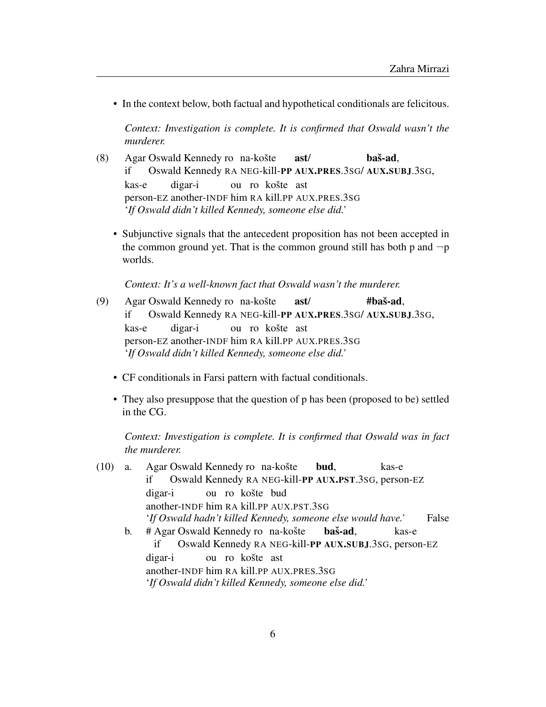• In the context below, both factual and hypothetical conditionals are felicitous.

*Context: Investigation is complete. It is confirmed that Oswald wasn't the murderer.*

- (8) Agar Oswald Kennedy ro na-košte if Oswald Kennedy RA NEG-kill-PP AUX.PRES.3SG/ AUX.SUBJ.3SG, ast/ baš-ad. kas-e person-EZ another-INDF him RA kill.PP AUX.PRES.3SG digar-i ou ro košte ast '*If Oswald didn't killed Kennedy, someone else did.'*
	- Subjunctive signals that the antecedent proposition has not been accepted in the common ground yet. That is the common ground still has both p and  $\neg p$ worlds.

*Context: It's a well-known fact that Oswald wasn't the murderer.*

- (9) Agar Oswald Kennedy ro na-košte if Oswald Kennedy RA NEG-kill-PP AUX.PRES.3SG/ AUX.SUBJ.3SG, ast/  $#$ baš-ad. kas-e person-EZ another-INDF him RA kill.PP AUX.PRES.3SG digar-i ou ro košte ast '*If Oswald didn't killed Kennedy, someone else did.'*
	- CF conditionals in Farsi pattern with factual conditionals.
	- They also presuppose that the question of p has been (proposed to be) settled in the CG.

*Context: Investigation is complete. It is confirmed that Oswald was in fact the murderer.*

(10) a. Agar Oswald Kennedy ro na-košte if Oswald Kennedy RA NEG-kill-PP AUX.PST.3SG, person-EZ bud, kas-e digar-i another-INDF him RA kill.PP AUX.PST.3SG ou ro košte bud '*If Oswald hadn't killed Kennedy, someone else would have.'* False b. # Agar Oswald Kennedy ro na-košte if Oswald Kennedy RA NEG-kill-PP AUX.SUBJ.3SG, person-EZ baš-ad, kas-e digar-i another-INDF him RA kill.PP AUX.PRES.3SG ou ro košte ast

'*If Oswald didn't killed Kennedy, someone else did.'*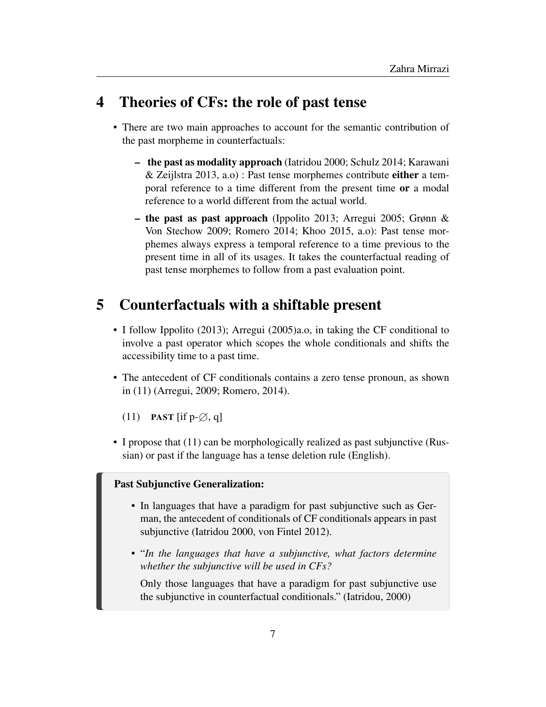### 4 Theories of CFs: the role of past tense

- There are two main approaches to account for the semantic contribution of the past morpheme in counterfactuals:
	- the past as modality approach (Iatridou 2000; Schulz 2014; Karawani & Zeijlstra 2013, a.o) : Past tense morphemes contribute either a temporal reference to a time different from the present time or a modal reference to a world different from the actual world.
	- the past as past approach (Ippolito 2013; Arregui 2005; Grønn & Von Stechow 2009; Romero 2014; Khoo 2015, a.o): Past tense morphemes always express a temporal reference to a time previous to the present time in all of its usages. It takes the counterfactual reading of past tense morphemes to follow from a past evaluation point.

# 5 Counterfactuals with a shiftable present

- I follow Ippolito (2013); Arregui (2005)a.o, in taking the CF conditional to involve a past operator which scopes the whole conditionals and shifts the accessibility time to a past time.
- The antecedent of CF conditionals contains a zero tense pronoun, as shown in (11) (Arregui, 2009; Romero, 2014).

(11) **PAST** [if  $p-\emptyset$ , q]

• I propose that (11) can be morphologically realized as past subjunctive (Russian) or past if the language has a tense deletion rule (English).

#### Past Subjunctive Generalization:

- In languages that have a paradigm for past subjunctive such as German, the antecedent of conditionals of CF conditionals appears in past subjunctive (Iatridou 2000, von Fintel 2012).
- "*In the languages that have a subjunctive, what factors determine whether the subjunctive will be used in CFs?*

Only those languages that have a paradigm for past subjunctive use the subjunctive in counterfactual conditionals." (Iatridou, 2000)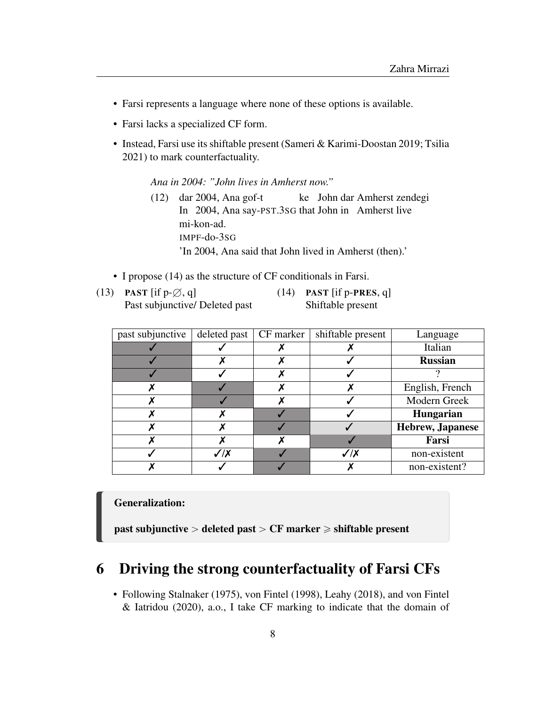- Farsi represents a language where none of these options is available.
- Farsi lacks a specialized CF form.
- Instead, Farsi use its shiftable present (Sameri & Karimi-Doostan 2019; Tsilia 2021) to mark counterfactuality.

*Ana in 2004: "John lives in Amherst now."*

- (12) dar 2004, Ana gof-t In 2004, Ana say-PST.3SG that John in Amherst live ke John dar Amherst zendegi mi-kon-ad. IMPF-do-3SG 'In 2004, Ana said that John lived in Amherst (then).'
- I propose (14) as the structure of CF conditionals in Farsi.
- (13) **PAST** [if  $p-\emptyset$ , q] Past subjunctive/ Deleted past

 $(14)$  PAST [if p-PRES, q] Shiftable present

| past subjunctive | deleted past | CF marker | shiftable present | Language         |
|------------------|--------------|-----------|-------------------|------------------|
|                  |              |           |                   | Italian          |
|                  |              |           |                   | <b>Russian</b>   |
|                  |              |           |                   |                  |
|                  |              |           |                   | English, French  |
|                  |              |           |                   | Modern Greek     |
|                  |              |           |                   | Hungarian        |
|                  |              |           |                   | Hebrew, Japanese |
|                  |              |           |                   | Farsi            |
|                  | $\sqrt{X}$   |           | $\sqrt{X}$        | non-existent     |
|                  |              |           |                   | non-existent?    |

#### Generalization:

past subjunctive  $>$  deleted past  $>$  CF marker  $\geq$  shiftable present

### 6 Driving the strong counterfactuality of Farsi CFs

• Following Stalnaker (1975), von Fintel (1998), Leahy (2018), and von Fintel & Iatridou (2020), a.o., I take CF marking to indicate that the domain of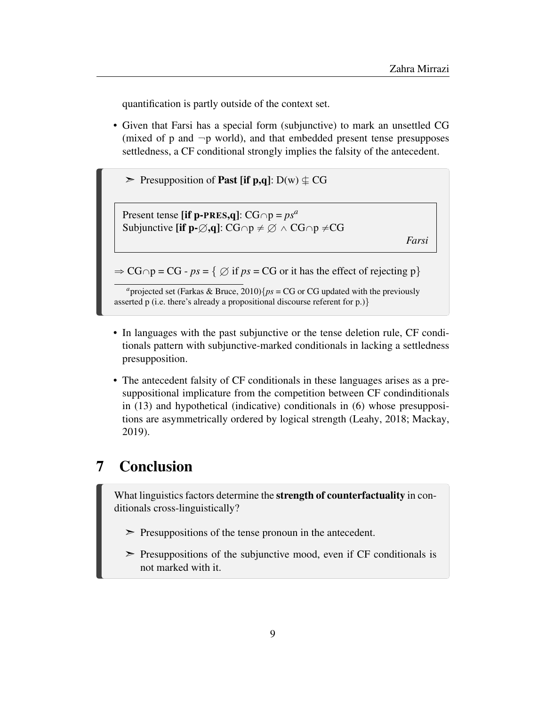quantification is partly outside of the context set.

- Given that Farsi has a special form (subjunctive) to mark an unsettled CG (mixed of p and  $\neg p$  world), and that embedded present tense presupposes settledness, a CF conditional strongly implies the falsity of the antecedent.
	- $\triangleright$  Presupposition of **Past [if p,q**]: D(w)  $\perp$  CG

Present tense [if p-PRES,q]:  $CG \cap p = ps^a$ Subjunctive [if p- $\emptyset$ ,q]: CG $\cap p \neq \emptyset \wedge CG \cap p \neq CG$ 

*Farsi*

 $\Rightarrow CG \cap p = CG - ps = \{ \emptyset \text{ if } ps = CG \text{ or it has the effect of rejecting } p \}$ 

<sup>*a*</sup>projected set (Farkas & Bruce, 2010){*ps* = CG or CG updated with the previously asserted p (i.e. there's already a propositional discourse referent for p.)}

- In languages with the past subjunctive or the tense deletion rule, CF conditionals pattern with subjunctive-marked conditionals in lacking a settledness presupposition.
- The antecedent falsity of CF conditionals in these languages arises as a presuppositional implicature from the competition between CF condinditionals in (13) and hypothetical (indicative) conditionals in (6) whose presuppositions are asymmetrically ordered by logical strength (Leahy, 2018; Mackay, 2019).

# 7 Conclusion

What linguistics factors determine the strength of counterfactuality in conditionals cross-linguistically?

- $\triangleright$  Presuppositions of the tense pronoun in the antecedent.
- $\triangleright$  Presuppositions of the subjunctive mood, even if CF conditionals is not marked with it.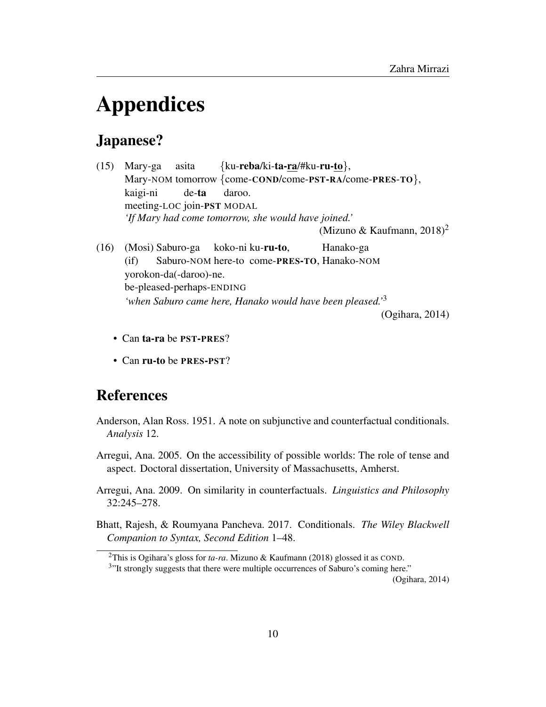# Appendices

### Japanese?

- (15) Mary-ga Mary-NOM tomorrow {come-COND/come-PST-RA/come-PRES-TO}, asita {ku-reba/ki-ta-ra/#ku-ru-to}, kaigi-ni meeting-LOC join-PST MODAL de-ta daroo. *'If Mary had come tomorrow, she would have joined.'* (Mizuno & Kaufmann, 2018)<sup>2</sup> (16) (Mosi) Saburo-ga koko-ni ku-**ru-to**, Hanako-ga
- (if) Saburo-NOM here-to come-PRES-TO, Hanako-NOM yorokon-da(-daroo)-ne. be-pleased-perhaps-ENDING *'when Saburo came here, Hanako would have been pleased.'*<sup>3</sup>

(Ogihara, 2014)

- Can ta-ra be PST-PRES?
- Can ru-to be PRES-PST?

### References

- Anderson, Alan Ross. 1951. A note on subjunctive and counterfactual conditionals. *Analysis* 12.
- Arregui, Ana. 2005. On the accessibility of possible worlds: The role of tense and aspect. Doctoral dissertation, University of Massachusetts, Amherst.
- Arregui, Ana. 2009. On similarity in counterfactuals. *Linguistics and Philosophy* 32:245–278.
- Bhatt, Rajesh, & Roumyana Pancheva. 2017. Conditionals. *The Wiley Blackwell Companion to Syntax, Second Edition* 1–48.

(Ogihara, 2014)

<sup>2</sup>This is Ogihara's gloss for *ta-ra*. Mizuno & Kaufmann (2018) glossed it as COND.

<sup>&</sup>lt;sup>3</sup>"It strongly suggests that there were multiple occurrences of Saburo's coming here."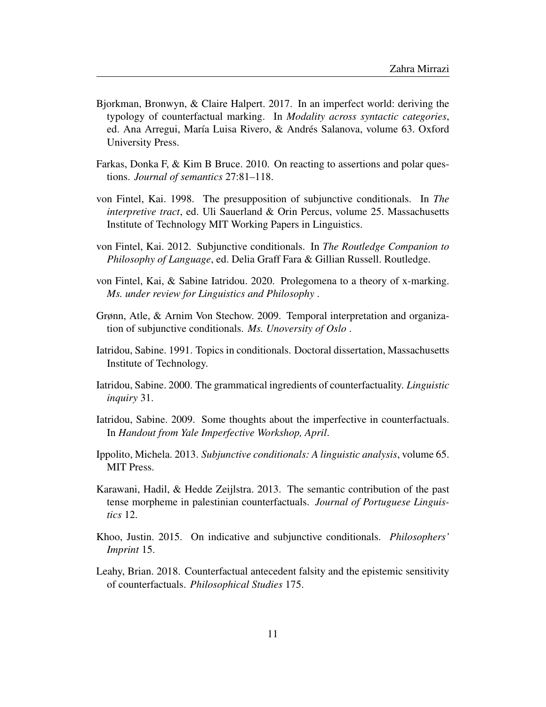- Bjorkman, Bronwyn, & Claire Halpert. 2017. In an imperfect world: deriving the typology of counterfactual marking. In *Modality across syntactic categories*, ed. Ana Arregui, María Luisa Rivero, & Andrés Salanova, volume 63. Oxford University Press.
- Farkas, Donka F, & Kim B Bruce. 2010. On reacting to assertions and polar questions. *Journal of semantics* 27:81–118.
- von Fintel, Kai. 1998. The presupposition of subjunctive conditionals. In *The interpretive tract*, ed. Uli Sauerland & Orin Percus, volume 25. Massachusetts Institute of Technology MIT Working Papers in Linguistics.
- von Fintel, Kai. 2012. Subjunctive conditionals. In *The Routledge Companion to Philosophy of Language*, ed. Delia Graff Fara & Gillian Russell. Routledge.
- von Fintel, Kai, & Sabine Iatridou. 2020. Prolegomena to a theory of x-marking. *Ms. under review for Linguistics and Philosophy* .
- Grønn, Atle, & Arnim Von Stechow. 2009. Temporal interpretation and organization of subjunctive conditionals. *Ms. Unoversity of Oslo* .
- Iatridou, Sabine. 1991. Topics in conditionals. Doctoral dissertation, Massachusetts Institute of Technology.
- Iatridou, Sabine. 2000. The grammatical ingredients of counterfactuality. *Linguistic inquiry* 31.
- Iatridou, Sabine. 2009. Some thoughts about the imperfective in counterfactuals. In *Handout from Yale Imperfective Workshop, April*.
- Ippolito, Michela. 2013. *Subjunctive conditionals: A linguistic analysis*, volume 65. MIT Press.
- Karawani, Hadil, & Hedde Zeijlstra. 2013. The semantic contribution of the past tense morpheme in palestinian counterfactuals. *Journal of Portuguese Linguistics* 12.
- Khoo, Justin. 2015. On indicative and subjunctive conditionals. *Philosophers' Imprint* 15.
- Leahy, Brian. 2018. Counterfactual antecedent falsity and the epistemic sensitivity of counterfactuals. *Philosophical Studies* 175.